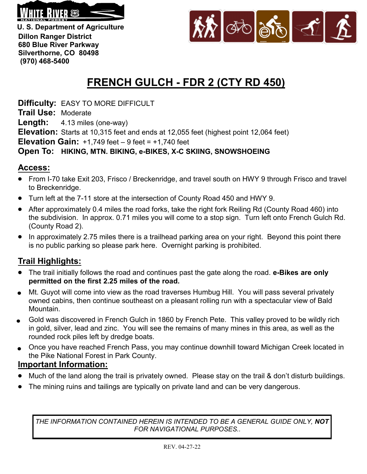

**U. S. Department of Agriculture Dillon Ranger District 680 Blue River Parkway Silverthorne, CO 80498 (970) 468-5400**



# **FRENCH GULCH - FDR 2 (CTY RD 450)**

**Difficulty:** EASY TO MORE DIFFICULT

**Trail Use:** Moderate

**Length:** 4.13 miles (one-way)

**Elevation:** Starts at 10,315 feet and ends at 12,055 feet (highest point 12,064 feet)

**Elevation Gain:** +1,749 feet – 9 feet = +1,740 feet

### **Open To: HIKING, MTN. BIKING, e-BIKES, X-C SKIING, SNOWSHOEING**

## **Access:**

- From I-70 take Exit 203, Frisco / Breckenridge, and travel south on HWY 9 through Frisco and travel to Breckenridge.
- Turn left at the 7-11 store at the intersection of County Road 450 and HWY 9.
- After approximately 0.4 miles the road forks, take the right fork Reiling Rd (County Road 460) into the subdivision. In approx. 0.71 miles you will come to a stop sign. Turn left onto French Gulch Rd. (County Road 2).
- In approximately 2.75 miles there is a trailhead parking area on your right. Beyond this point there  $\bullet$ is no public parking so please park here. Overnight parking is prohibited.

# **Trail Highlights:**

- The trail initially follows the road and continues past the gate along the road. **e-Bikes are only permitted on the first 2.25 miles of the road.**
- Mt. Guyot will come into view as the road traverses Humbug Hill. You will pass several privately owned cabins, then continue southeast on a pleasant rolling run with a spectacular view of Bald Mountain.
- Gold was discovered in French Gulch in 1860 by French Pete. This valley proved to be wildly rich  $\bullet$ in gold, silver, lead and zinc. You will see the remains of many mines in this area, as well as the rounded rock piles left by dredge boats.
- Once you have reached French Pass, you may continue downhill toward Michigan Creek located in the Pike National Forest in Park County.

### **Important Information:**

- Much of the land along the trail is privately owned. Please stay on the trail & don't disturb buildings.
- The mining ruins and tailings are typically on private land and can be very dangerous.

*THE INFORMATION CONTAINED HEREIN IS INTENDED TO BE A GENERAL GUIDE ONLY, NOT FOR NAVIGATIONAL PURPOSES..*